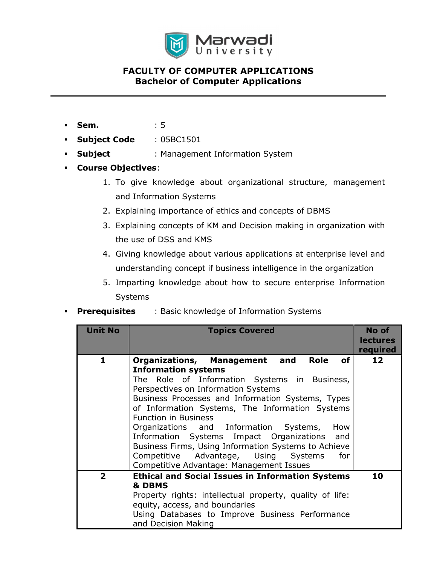

## FACULTY OF COMPUTER APPLICATIONS Bachelor of Computer Applications

- **Sem.** : 5
- Subject Code : 05BC1501
- **Subject** : Management Information System
- Course Objectives:
	- 1. To give knowledge about organizational structure, management and Information Systems
	- 2. Explaining importance of ethics and concepts of DBMS
	- 3. Explaining concepts of KM and Decision making in organization with the use of DSS and KMS
	- 4. Giving knowledge about various applications at enterprise level and understanding concept if business intelligence in the organization
	- 5. Imparting knowledge about how to secure enterprise Information Systems
- **Prerequisites** : Basic knowledge of Information Systems

| <b>Unit No</b> | <b>Topics Covered</b>                                                                                                                                                                                                                                                                                                                                                                                                                                                                                                                                                    | No of<br><b>lectures</b><br>required |
|----------------|--------------------------------------------------------------------------------------------------------------------------------------------------------------------------------------------------------------------------------------------------------------------------------------------------------------------------------------------------------------------------------------------------------------------------------------------------------------------------------------------------------------------------------------------------------------------------|--------------------------------------|
| 1              | Organizations, Management and<br>Role<br>of <sub>l</sub><br><b>Information systems</b><br>The Role of Information Systems in Business,<br>Perspectives on Information Systems<br>Business Processes and Information Systems, Types<br>of Information Systems, The Information Systems<br><b>Function in Business</b><br>Organizations and Information Systems,<br>How<br>Information Systems Impact Organizations and<br>Business Firms, Using Information Systems to Achieve<br>Competitive Advantage, Using Systems<br>for<br>Competitive Advantage: Management Issues | 12                                   |
| $\mathbf{2}$   | <b>Ethical and Social Issues in Information Systems</b><br>& DBMS<br>Property rights: intellectual property, quality of life:<br>equity, access, and boundaries<br>Using Databases to Improve Business Performance<br>and Decision Making                                                                                                                                                                                                                                                                                                                                | 10                                   |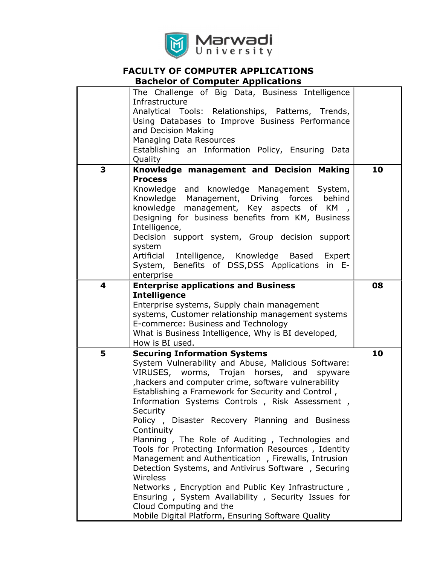

# FACULTY OF COMPUTER APPLICATIONS

Bachelor of Computer Applications

|   | The Challenge of Big Data, Business Intelligence<br>Infrastructure<br>Analytical Tools: Relationships, Patterns, Trends,<br>Using Databases to Improve Business Performance<br>and Decision Making<br>Managing Data Resources<br>Establishing an Information Policy, Ensuring Data<br>Quality                                                                                                                                                                                                                                                                                                                                                                                                                                                                                                                              |    |
|---|----------------------------------------------------------------------------------------------------------------------------------------------------------------------------------------------------------------------------------------------------------------------------------------------------------------------------------------------------------------------------------------------------------------------------------------------------------------------------------------------------------------------------------------------------------------------------------------------------------------------------------------------------------------------------------------------------------------------------------------------------------------------------------------------------------------------------|----|
| 3 | Knowledge management and Decision Making<br><b>Process</b><br>Knowledge and knowledge Management System,<br>Knowledge Management, Driving forces<br>behind<br>knowledge management, Key aspects of KM,<br>Designing for business benefits from KM, Business<br>Intelligence,<br>Decision support system, Group decision support<br>system<br>Artificial Intelligence, Knowledge Based Expert<br>System, Benefits of DSS, DSS Applications in E-                                                                                                                                                                                                                                                                                                                                                                            | 10 |
| 4 | enterprise<br><b>Enterprise applications and Business</b><br><b>Intelligence</b><br>Enterprise systems, Supply chain management<br>systems, Customer relationship management systems<br>E-commerce: Business and Technology<br>What is Business Intelligence, Why is BI developed,<br>How is BI used.                                                                                                                                                                                                                                                                                                                                                                                                                                                                                                                      | 08 |
| 5 | <b>Securing Information Systems</b><br>System Vulnerability and Abuse, Malicious Software:<br>VIRUSES, worms, Trojan horses, and<br>spyware<br>hackers and computer crime, software vulnerability<br>Establishing a Framework for Security and Control,<br>Information Systems Controls, Risk Assessment,<br>Security<br>Policy, Disaster Recovery Planning and Business<br>Continuity<br>Planning, The Role of Auditing, Technologies and<br>Tools for Protecting Information Resources, Identity<br>Management and Authentication, Firewalls, Intrusion<br>Detection Systems, and Antivirus Software, Securing<br>Wireless<br>Networks, Encryption and Public Key Infrastructure,<br>Ensuring, System Availability, Security Issues for<br>Cloud Computing and the<br>Mobile Digital Platform, Ensuring Software Quality | 10 |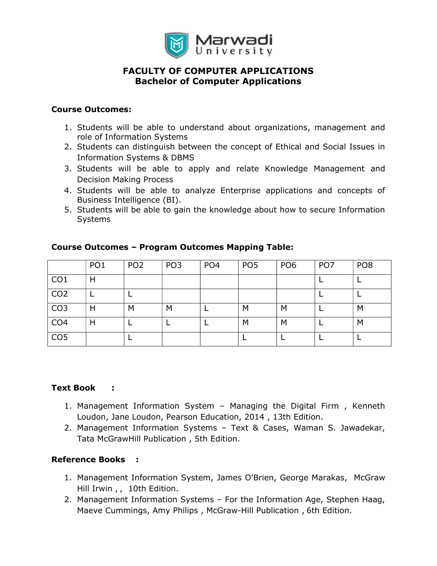

## FACULTY OF COMPUTER APPLICATIONS Bachelor of Computer Applications

#### Course Outcomes:

- 1. Students will be able to understand about organizations, management and role of Information Systems
- 2. Students can distinguish between the concept of Ethical and Social Issues in Information Systems & DBMS
- 3. Students will be able to apply and relate Knowledge Management and Decision Making Process
- 4. Students will be able to analyze Enterprise applications and concepts of Business Intelligence (BI).
- 5. Students will be able to gain the knowledge about how to secure Information **Systems**

|                 | PO <sub>1</sub> | PO <sub>2</sub> | PO <sub>3</sub> | PO <sub>4</sub> | PO <sub>5</sub> | PO <sub>6</sub> | PO <sub>7</sub> | PO <sub>8</sub> |
|-----------------|-----------------|-----------------|-----------------|-----------------|-----------------|-----------------|-----------------|-----------------|
| CO <sub>1</sub> | Н               |                 |                 |                 |                 |                 |                 |                 |
| CO <sub>2</sub> |                 |                 |                 |                 |                 |                 |                 |                 |
| CO <sub>3</sub> | Н               | M               | M               |                 | M               | M               |                 | M               |
| CO <sub>4</sub> | Н               |                 |                 |                 | M               | M               |                 | M               |
| CO <sub>5</sub> |                 |                 |                 |                 |                 |                 |                 |                 |

### Course Outcomes – Program Outcomes Mapping Table:

#### Text Book :

- 1. Management Information System Managing the Digital Firm , Kenneth Loudon, Jane Loudon, Pearson Education, 2014 , 13th Edition.
- 2. Management Information Systems Text & Cases, Waman S. Jawadekar, Tata McGrawHill Publication , 5th Edition.

#### Reference Books :

- 1. Management Information System, James O'Brien, George Marakas, McGraw Hill Irwin,, 10th Edition.
- 2. Management Information Systems For the Information Age, Stephen Haag, Maeve Cummings, Amy Philips , McGraw-Hill Publication , 6th Edition.